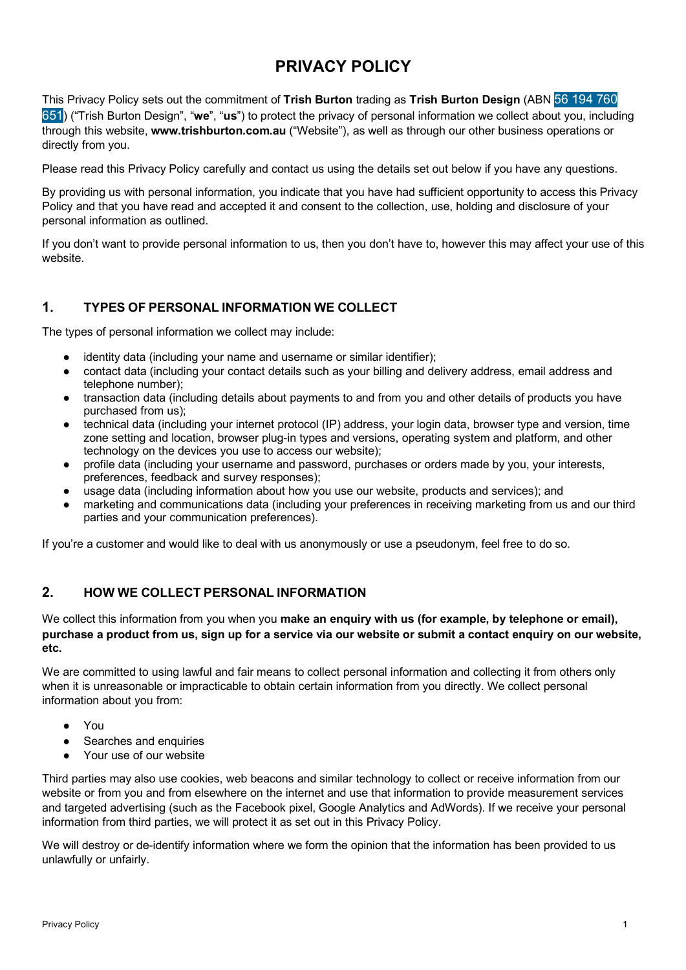# **PRIVACY POLICY**

This Privacy Policy sets out the commitment of **Trish Burton** trading as **Trish Burton Design** (ABN 56 194 760 651) ("Trish Burton Design", "**we**", "**us**") to protect the privacy of personal information we collect about you, including through this website, **www.trishburton.com.au** ("Website"), as well as through our other business operations or directly from you.

Please read this Privacy Policy carefully and contact us using the details set out below if you have any questions.

By providing us with personal information, you indicate that you have had sufficient opportunity to access this Privacy Policy and that you have read and accepted it and consent to the collection, use, holding and disclosure of your personal information as outlined.

If you don't want to provide personal information to us, then you don't have to, however this may affect your use of this website.

# **1. TYPES OF PERSONAL INFORMATION WE COLLECT**

The types of personal information we collect may include:

- identity data (including your name and username or similar identifier);
- contact data (including your contact details such as your billing and delivery address, email address and telephone number);
- transaction data (including details about payments to and from you and other details of products you have purchased from us);
- technical data (including your internet protocol (IP) address, your login data, browser type and version, time zone setting and location, browser plug-in types and versions, operating system and platform, and other technology on the devices you use to access our website);
- profile data (including your username and password, purchases or orders made by you, your interests, preferences, feedback and survey responses);
- usage data (including information about how you use our website, products and services); and
- marketing and communications data (including your preferences in receiving marketing from us and our third parties and your communication preferences).

If you're a customer and would like to deal with us anonymously or use a pseudonym, feel free to do so.

## **2. HOW WE COLLECT PERSONAL INFORMATION**

We collect this information from you when you **make an enquiry with us (for example, by telephone or email), purchase a product from us, sign up for a service via our website or submit a contact enquiry on our website, etc.**

We are committed to using lawful and fair means to collect personal information and collecting it from others only when it is unreasonable or impracticable to obtain certain information from you directly. We collect personal information about you from:

- You
- Searches and enquiries
- Your use of our website

Third parties may also use cookies, web beacons and similar technology to collect or receive information from our website or from you and from elsewhere on the internet and use that information to provide measurement services and targeted advertising (such as the Facebook pixel, Google Analytics and AdWords). If we receive your personal information from third parties, we will protect it as set out in this Privacy Policy.

We will destroy or de-identify information where we form the opinion that the information has been provided to us unlawfully or unfairly.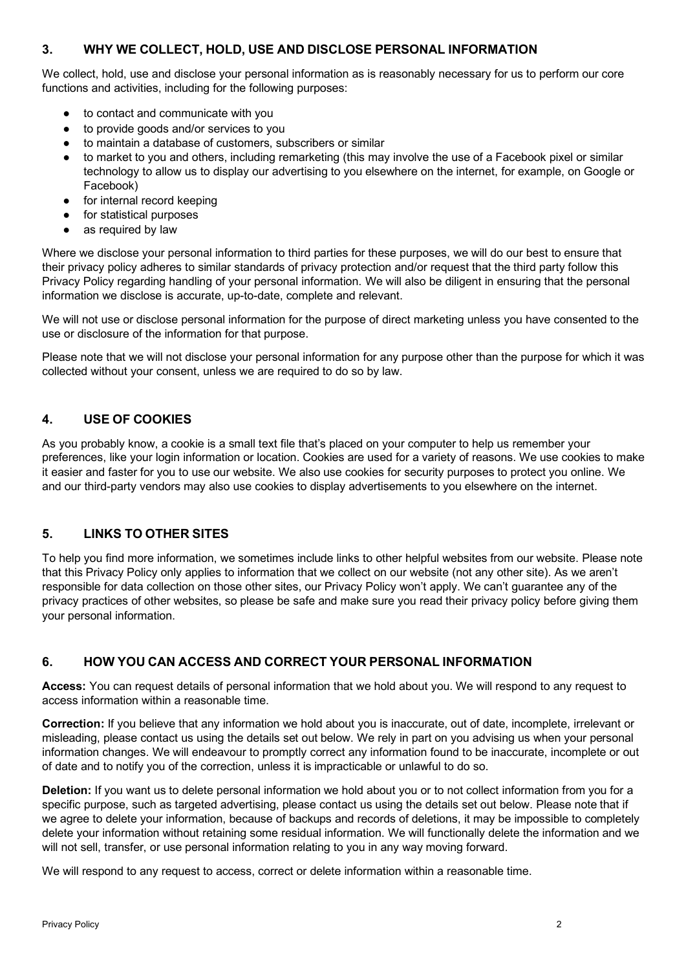#### **3. WHY WE COLLECT, HOLD, USE AND DISCLOSE PERSONAL INFORMATION**

We collect, hold, use and disclose your personal information as is reasonably necessary for us to perform our core functions and activities, including for the following purposes:

- to contact and communicate with you
- to provide goods and/or services to you
- to maintain a database of customers, subscribers or similar
- to market to you and others, including remarketing (this may involve the use of a Facebook pixel or similar technology to allow us to display our advertising to you elsewhere on the internet, for example, on Google or Facebook)
- for internal record keeping
- for statistical purposes
- as required by law

Where we disclose your personal information to third parties for these purposes, we will do our best to ensure that their privacy policy adheres to similar standards of privacy protection and/or request that the third party follow this Privacy Policy regarding handling of your personal information. We will also be diligent in ensuring that the personal information we disclose is accurate, up-to-date, complete and relevant.

We will not use or disclose personal information for the purpose of direct marketing unless you have consented to the use or disclosure of the information for that purpose.

Please note that we will not disclose your personal information for any purpose other than the purpose for which it was collected without your consent, unless we are required to do so by law.

#### **4. USE OF COOKIES**

As you probably know, a cookie is a small text file that's placed on your computer to help us remember your preferences, like your login information or location. Cookies are used for a variety of reasons. We use cookies to make it easier and faster for you to use our website. We also use cookies for security purposes to protect you online. We and our third-party vendors may also use cookies to display advertisements to you elsewhere on the internet.

#### **5. LINKS TO OTHER SITES**

To help you find more information, we sometimes include links to other helpful websites from our website. Please note that this Privacy Policy only applies to information that we collect on our website (not any other site). As we aren't responsible for data collection on those other sites, our Privacy Policy won't apply. We can't guarantee any of the privacy practices of other websites, so please be safe and make sure you read their privacy policy before giving them your personal information.

## **6. HOW YOU CAN ACCESS AND CORRECT YOUR PERSONAL INFORMATION**

**Access:** You can request details of personal information that we hold about you. We will respond to any request to access information within a reasonable time.

**Correction:** If you believe that any information we hold about you is inaccurate, out of date, incomplete, irrelevant or misleading, please contact us using the details set out below. We rely in part on you advising us when your personal information changes. We will endeavour to promptly correct any information found to be inaccurate, incomplete or out of date and to notify you of the correction, unless it is impracticable or unlawful to do so.

**Deletion:** If you want us to delete personal information we hold about you or to not collect information from you for a specific purpose, such as targeted advertising, please contact us using the details set out below. Please note that if we agree to delete your information, because of backups and records of deletions, it may be impossible to completely delete your information without retaining some residual information. We will functionally delete the information and we will not sell, transfer, or use personal information relating to you in any way moving forward.

We will respond to any request to access, correct or delete information within a reasonable time.